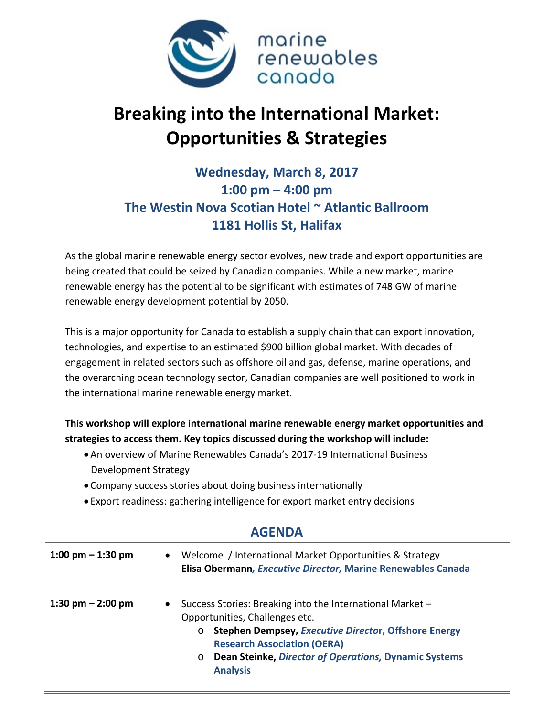

## **Breaking into the International Market: Opportunities & Strategies**

## **Wednesday, March 8, 2017 1:00 pm – 4:00 pm The Westin Nova Scotian Hotel ~ Atlantic Ballroom 1181 Hollis St, Halifax**

As the global marine renewable energy sector evolves, new trade and export opportunities are being created that could be seized by Canadian companies. While a new market, marine renewable energy has the potential to be significant with estimates of 748 GW of marine renewable energy development potential by 2050.

This is a major opportunity for Canada to establish a supply chain that can export innovation, technologies, and expertise to an estimated \$900 billion global market. With decades of engagement in related sectors such as offshore oil and gas, defense, marine operations, and the overarching ocean technology sector, Canadian companies are well positioned to work in the international marine renewable energy market.

## **This workshop will explore international marine renewable energy market opportunities and strategies to access them. Key topics discussed during the workshop will include:**

- An overview of Marine Renewables Canada's 2017-19 International Business Development Strategy
- Company success stories about doing business internationally
- Export readiness: gathering intelligence for export market entry decisions

| 1:00 pm $-$ 1:30 pm | Welcome / International Market Opportunities & Strategy<br>$\bullet$<br>Elisa Obermann, Executive Director, Marine Renewables Canada                                                                                                                                                                 |
|---------------------|------------------------------------------------------------------------------------------------------------------------------------------------------------------------------------------------------------------------------------------------------------------------------------------------------|
| 1:30 pm $-$ 2:00 pm | Success Stories: Breaking into the International Market -<br>$\bullet$<br>Opportunities, Challenges etc.<br><b>Stephen Dempsey, Executive Director, Offshore Energy</b><br><b>Research Association (OERA)</b><br>Dean Steinke, Director of Operations, Dynamic Systems<br>$\circ$<br><b>Analysis</b> |

## **AGENDA**